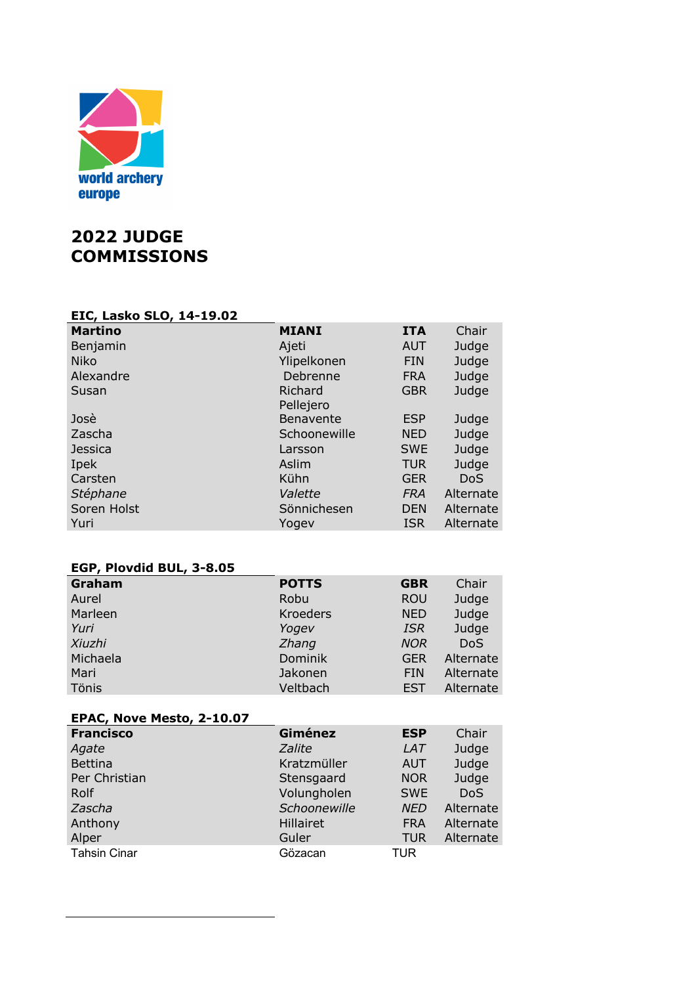

# **2022 JUDGE COMMISSIONS**

# **EIC, Lasko SLO, 14-19.02**

| <b>MIANI</b>     | <b>ITA</b> | Chair      |
|------------------|------------|------------|
| Ajeti            | <b>AUT</b> | Judge      |
| Ylipelkonen      | <b>FIN</b> | Judge      |
| Debrenne         | <b>FRA</b> | Judge      |
| Richard          | <b>GBR</b> | Judge      |
| <b>Benavente</b> | <b>ESP</b> | Judge      |
| Schoonewille     | <b>NED</b> | Judge      |
| Larsson          | <b>SWE</b> | Judge      |
| Aslim            | <b>TUR</b> | Judge      |
| Kühn             | <b>GER</b> | <b>DoS</b> |
| Valette          | <b>FRA</b> | Alternate  |
| Sönnichesen      | <b>DEN</b> | Alternate  |
| Yogev            | <b>ISR</b> | Alternate  |
|                  | Pellejero  |            |

## **EGP, Plovdid BUL, 3-8.05**

| Graham   | <b>POTTS</b>    | <b>GBR</b> | Chair      |
|----------|-----------------|------------|------------|
| Aurel    | Robu            | <b>ROU</b> | Judge      |
| Marleen  | <b>Kroeders</b> | <b>NED</b> | Judge      |
| Yuri     | Yogev           | <b>ISR</b> | Judge      |
| Xiuzhi   | Zhang           | <b>NOR</b> | <b>DoS</b> |
| Michaela | Dominik         | <b>GER</b> | Alternate  |
| Mari     | Jakonen         | <b>FIN</b> | Alternate  |
| Tönis    | Veltbach        | EST        | Alternate  |

| EPAC, Nove Mesto, 2-10.07 |               |            |            |
|---------------------------|---------------|------------|------------|
| <b>Francisco</b>          | Giménez       | <b>ESP</b> | Chair      |
| Agate                     | <b>Zalite</b> | <b>LAT</b> | Judge      |
| <b>Bettina</b>            | Kratzmüller   | <b>AUT</b> | Judge      |
| Per Christian             | Stensgaard    | <b>NOR</b> | Judge      |
| Rolf                      | Volungholen   | <b>SWE</b> | <b>DoS</b> |
| Zascha                    | Schoonewille  | <b>NED</b> | Alternate  |
| Anthony                   | Hillairet     | <b>FRA</b> | Alternate  |
| Alper                     | Guler         | <b>TUR</b> | Alternate  |
| <b>Tahsin Cinar</b>       | Gözacan       | TUR        |            |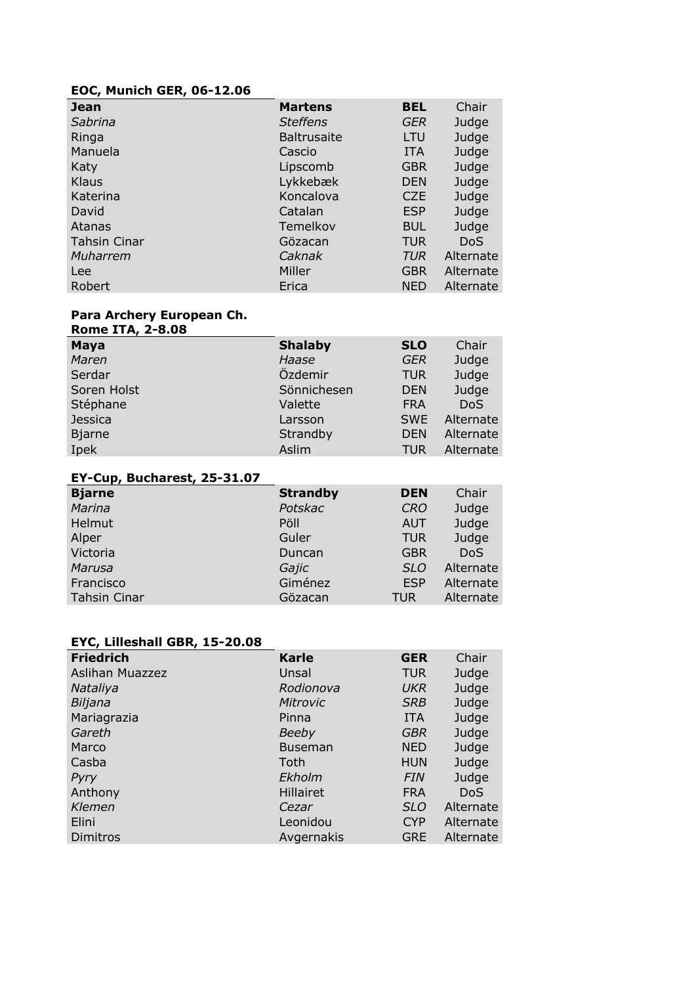## **EOC, Munich GER, 06-12.06**

| <b>Jean</b>         | <b>Martens</b>     | <b>BEL</b> | Chair      |
|---------------------|--------------------|------------|------------|
| Sabrina             | <b>Steffens</b>    | GER        | Judge      |
| Ringa               | <b>Baltrusaite</b> | LTU        | Judge      |
| Manuela             | Cascio             | <b>ITA</b> | Judge      |
| Katy                | Lipscomb           | <b>GBR</b> | Judge      |
| Klaus               | Lykkebæk           | <b>DEN</b> | Judge      |
| Katerina            | Koncalova          | <b>CZE</b> | Judge      |
| David               | Catalan            | <b>ESP</b> | Judge      |
| Atanas              | Temelkov           | <b>BUL</b> | Judge      |
| <b>Tahsin Cinar</b> | Gözacan            | <b>TUR</b> | <b>DoS</b> |
| Muharrem            | Caknak             | <b>TUR</b> | Alternate  |
| Lee                 | Miller             | <b>GBR</b> | Alternate  |
| Robert              | Erica              | <b>NED</b> | Alternate  |

#### **Para Archery European Ch.**

| <b>Rome ITA, 2-8.08</b> |                |            |            |
|-------------------------|----------------|------------|------------|
| <b>Maya</b>             | <b>Shalaby</b> | <b>SLO</b> | Chair      |
| Maren                   | Haase          | <b>GER</b> | Judge      |
| Serdar                  | Özdemir        | <b>TUR</b> | Judge      |
| Soren Holst             | Sönnichesen    | <b>DEN</b> | Judge      |
| Stéphane                | Valette        | <b>FRA</b> | <b>DoS</b> |
| <b>Jessica</b>          | Larsson        | <b>SWE</b> | Alternate  |
| <b>Bjarne</b>           | Strandby       | <b>DEN</b> | Alternate  |
| Ipek                    | Aslim          | <b>TUR</b> | Alternate  |

#### **EY-Cup, Bucharest, 25-31.07**

| <b>Bjarne</b>       | <b>Strandby</b> | <b>DEN</b> | Chair      |
|---------------------|-----------------|------------|------------|
| Marina              | Potskac         | <b>CRO</b> | Judge      |
| Helmut              | Pöll            | <b>AUT</b> | Judge      |
| Alper               | Guler           | <b>TUR</b> | Judge      |
| Victoria            | Duncan          | <b>GBR</b> | <b>DoS</b> |
| Marusa              | Gajic           | <b>SLO</b> | Alternate  |
| Francisco           | Giménez         | <b>ESP</b> | Alternate  |
| <b>Tahsin Cinar</b> | Gözacan         | <b>TUR</b> | Alternate  |

#### **EYC, Lilleshall GBR, 15-20.08**

| <b>Friedrich</b> | <b>Karle</b>     | <b>GER</b> | Chair      |
|------------------|------------------|------------|------------|
| Aslihan Muazzez  | Unsal            | <b>TUR</b> | Judge      |
| Nataliya         | Rodionova        | UKR        | Judge      |
| Biljana          | Mitrovic         | <b>SRB</b> | Judge      |
| Mariagrazia      | Pinna            | <b>ITA</b> | Judge      |
| Gareth           | <b>Beeby</b>     | GBR        | Judge      |
| Marco            | <b>Buseman</b>   | <b>NED</b> | Judge      |
| Casba            | Toth             | <b>HUN</b> | Judge      |
| Pyry             | Ekholm           | <b>FIN</b> | Judge      |
| Anthony          | <b>Hillairet</b> | <b>FRA</b> | <b>DoS</b> |
| Klemen           | Cezar            | <b>SLO</b> | Alternate  |
| Elini            | Leonidou         | <b>CYP</b> | Alternate  |
| Dimitros         | Avgernakis       | <b>GRE</b> | Alternate  |
|                  |                  |            |            |